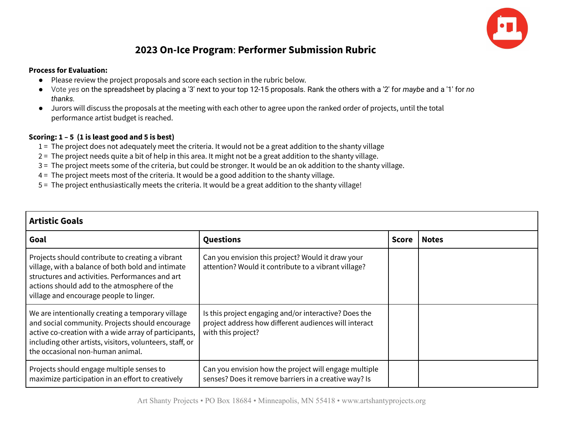

## **2023 On-Ice Program**: **Performer Submission Rubric**

## **Process for Evaluation:**

- Please review the project proposals and score each section in the rubric below.
- Vote *yes* on the spreadsheet by placing a '3' next to your top 12-15 proposals. Rank the others with a '2' for *maybe* and a '1' for *no thanks.*
- Jurors will discuss the proposals at the meeting with each other to agree upon the ranked order of projects, until the total performance artist budget is reached.

## **Scoring: 1 – 5 (1 is least good and 5 is best)**

- 1 = The project does not adequately meet the criteria. It would not be a great addition to the shanty village
- 2 = The project needs quite a bit of help in this area. It might not be a great addition to the shanty village.
- 3 = The project meets some of the criteria, but could be stronger. It would be an ok addition to the shanty village.
- 4 = The project meets most of the criteria. It would be a good addition to the shanty village.
- 5 = The project enthusiastically meets the criteria. It would be a great addition to the shanty village!

| Artistic Goals                                                                                                                                                                                                                                                |                                                                                                                                      |              |              |
|---------------------------------------------------------------------------------------------------------------------------------------------------------------------------------------------------------------------------------------------------------------|--------------------------------------------------------------------------------------------------------------------------------------|--------------|--------------|
| Goal                                                                                                                                                                                                                                                          | Questions                                                                                                                            | <b>Score</b> | <b>Notes</b> |
| Projects should contribute to creating a vibrant<br>village, with a balance of both bold and intimate<br>structures and activities. Performances and art<br>actions should add to the atmosphere of the<br>village and encourage people to linger.            | Can you envision this project? Would it draw your<br>attention? Would it contribute to a vibrant village?                            |              |              |
| We are intentionally creating a temporary village<br>and social community. Projects should encourage<br>active co-creation with a wide array of participants,<br>including other artists, visitors, volunteers, staff, or<br>the occasional non-human animal. | Is this project engaging and/or interactive? Does the<br>project address how different audiences will interact<br>with this project? |              |              |
| Projects should engage multiple senses to<br>maximize participation in an effort to creatively                                                                                                                                                                | Can you envision how the project will engage multiple<br>senses? Does it remove barriers in a creative way? Is                       |              |              |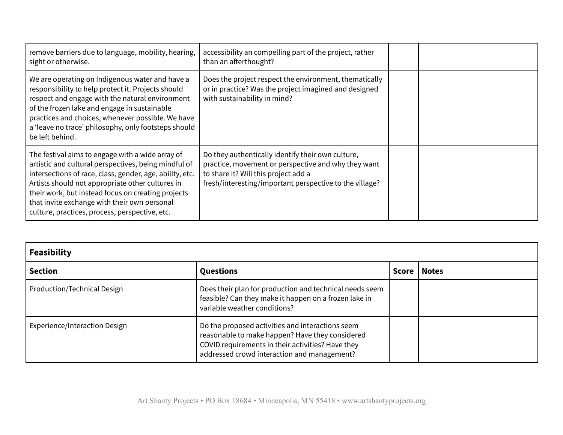| remove barriers due to language, mobility, hearing,<br>sight or otherwise.                                                                                                                                                                                                                                                                                                       | accessibility an compelling part of the project, rather<br>than an afterthought?                                                                                                                            |  |
|----------------------------------------------------------------------------------------------------------------------------------------------------------------------------------------------------------------------------------------------------------------------------------------------------------------------------------------------------------------------------------|-------------------------------------------------------------------------------------------------------------------------------------------------------------------------------------------------------------|--|
| We are operating on Indigenous water and have a<br>responsibility to help protect it. Projects should<br>respect and engage with the natural environment<br>of the frozen lake and engage in sustainable<br>practices and choices, whenever possible. We have<br>a 'leave no trace' philosophy, only footsteps should<br>be left behind.                                         | Does the project respect the environment, thematically<br>or in practice? Was the project imagined and designed<br>with sustainability in mind?                                                             |  |
| The festival aims to engage with a wide array of<br>artistic and cultural perspectives, being mindful of<br>intersections of race, class, gender, age, ability, etc.<br>Artists should not appropriate other cultures in<br>their work, but instead focus on creating projects<br>that invite exchange with their own personal<br>culture, practices, process, perspective, etc. | Do they authentically identify their own culture,<br>practice, movement or perspective and why they want<br>to share it? Will this project add a<br>fresh/interesting/important perspective to the village? |  |

| <b>Feasibility</b>            |                                                                                                                                                                                                         |              |              |
|-------------------------------|---------------------------------------------------------------------------------------------------------------------------------------------------------------------------------------------------------|--------------|--------------|
| <b>Section</b>                | Questions                                                                                                                                                                                               | <b>Score</b> | <b>Notes</b> |
| Production/Technical Design   | Does their plan for production and technical needs seem<br>feasible? Can they make it happen on a frozen lake in<br>variable weather conditions?                                                        |              |              |
| Experience/Interaction Design | Do the proposed activities and interactions seem<br>reasonable to make happen? Have they considered<br>COVID requirements in their activities? Have they<br>addressed crowd interaction and management? |              |              |